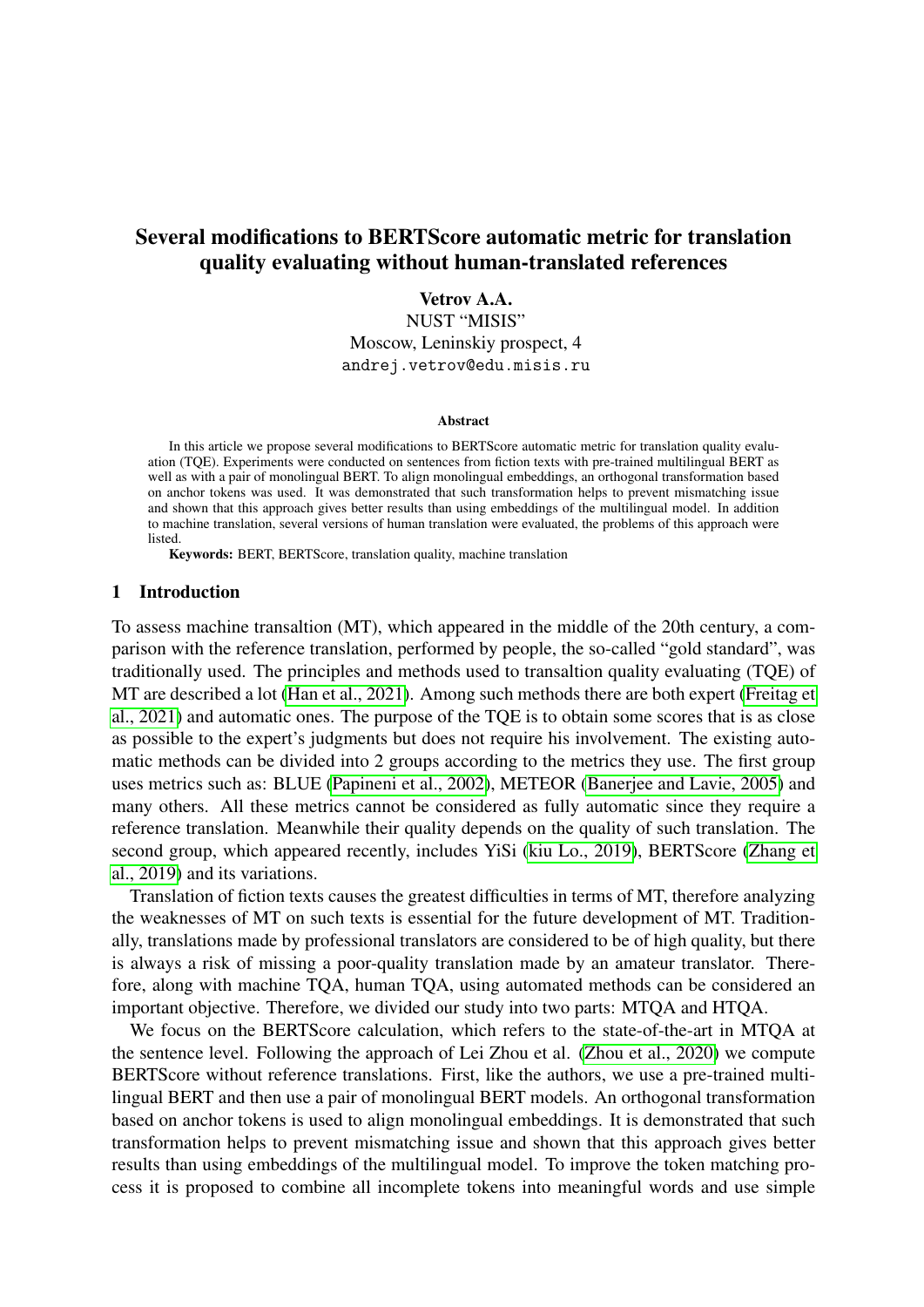# Several modifications to BERTScore automatic metric for translation quality evaluating without human-translated references

Vetrov A.A.

NUST "MISIS"

Moscow, Leninskiy prospect, 4 andrej.vetrov@edu.misis.ru

#### **Abstract**

In this article we propose several modifications to BERTScore automatic metric for translation quality evaluation (TQE). Experiments were conducted on sentences from fiction texts with pre-trained multilingual BERT as well as with a pair of monolingual BERT. To align monolingual embeddings, an orthogonal transformation based on anchor tokens was used. It was demonstrated that such transformation helps to prevent mismatching issue and shown that this approach gives better results than using embeddings of the multilingual model. In addition to machine translation, several versions of human translation were evaluated, the problems of this approach were **listed** 

Keywords: BERT, BERTScore, translation quality, machine translation

#### 1 Introduction

To assess machine transaltion (MT), which appeared in the middle of the 20th century, a comparison with the reference translation, performed by people, the so-called "gold standard", was traditionally used. The principles and methods used to transaltion quality evaluating (TQE) of MT are described a lot [\(Han et al., 2021\)](#page-6-0). Among such methods there are both expert [\(Freitag et](#page-6-1) [al., 2021\)](#page-6-1) and automatic ones. The purpose of the TQE is to obtain some scores that is as close as possible to the expert's judgments but does not require his involvement. The existing automatic methods can be divided into 2 groups according to the metrics they use. The first group uses metrics such as: BLUE [\(Papineni et al., 2002\)](#page-6-2), METEOR [\(Banerjee and Lavie, 2005\)](#page-6-3) and many others. All these metrics cannot be considered as fully automatic since they require a reference translation. Meanwhile their quality depends on the quality of such translation. The second group, which appeared recently, includes YiSi [\(kiu Lo., 2019\)](#page-6-4), BERTScore [\(Zhang et](#page-7-0) [al., 2019\)](#page-7-0) and its variations.

Translation of fiction texts causes the greatest difficulties in terms of MT, therefore analyzing the weaknesses of MT on such texts is essential for the future development of MT. Traditionally, translations made by professional translators are considered to be of high quality, but there is always a risk of missing a poor-quality translation made by an amateur translator. Therefore, along with machine TQA, human TQA, using automated methods can be considered an important objective. Therefore, we divided our study into two parts: MTQA and HTQA.

We focus on the BERTScore calculation, which refers to the state-of-the-art in MTQA at the sentence level. Following the approach of Lei Zhou et al. [\(Zhou et al., 2020\)](#page-7-1) we compute BERTScore without reference translations. First, like the authors, we use a pre-trained multilingual BERT and then use a pair of monolingual BERT models. An orthogonal transformation based on anchor tokens is used to align monolingual embeddings. It is demonstrated that such transformation helps to prevent mismatching issue and shown that this approach gives better results than using embeddings of the multilingual model. To improve the token matching process it is proposed to combine all incomplete tokens into meaningful words and use simple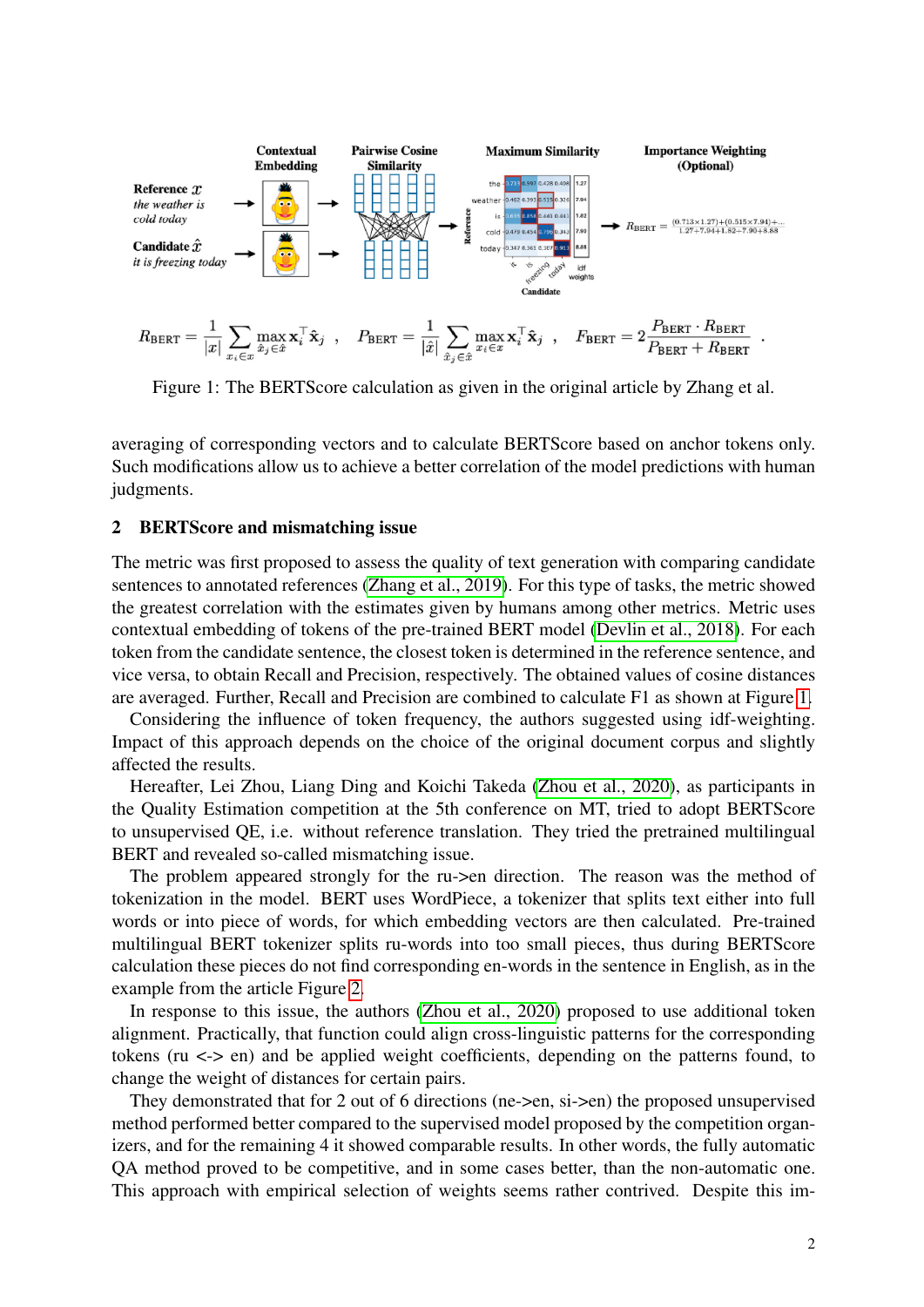

<span id="page-1-0"></span>Figure 1: The BERTScore calculation as given in the original article by Zhang et al.

averaging of corresponding vectors and to calculate BERTScore based on anchor tokens only. Such modifications allow us to achieve a better correlation of the model predictions with human judgments.

#### 2 BERTScore and mismatching issue

The metric was first proposed to assess the quality of text generation with comparing candidate sentences to annotated references [\(Zhang et al., 2019\)](#page-7-0). For this type of tasks, the metric showed the greatest correlation with the estimates given by humans among other metrics. Metric uses contextual embedding of tokens of the pre-trained BERT model [\(Devlin et al., 2018\)](#page-6-5). For each token from the candidate sentence, the closest token is determined in the reference sentence, and vice versa, to obtain Recall and Precision, respectively. The obtained values of cosine distances are averaged. Further, Recall and Precision are combined to calculate F1 as shown at Figure [1.](#page-1-0)

Considering the influence of token frequency, the authors suggested using idf-weighting. Impact of this approach depends on the choice of the original document corpus and slightly affected the results.

Hereafter, Lei Zhou, Liang Ding and Koichi Takeda [\(Zhou et al., 2020\)](#page-7-1), as participants in the Quality Estimation competition at the 5th conference on MT, tried to adopt BERTScore to unsupervised QE, i.e. without reference translation. They tried the pretrained multilingual BERT and revealed so-called mismatching issue.

The problem appeared strongly for the ru->en direction. The reason was the method of tokenization in the model. BERT uses WordPiece, a tokenizer that splits text either into full words or into piece of words, for which embedding vectors are then calculated. Pre-trained multilingual BERT tokenizer splits ru-words into too small pieces, thus during BERTScore calculation these pieces do not find corresponding en-words in the sentence in English, as in the example from the article Figure [2.](#page-2-0)

In response to this issue, the authors [\(Zhou et al., 2020\)](#page-7-1) proposed to use additional token alignment. Practically, that function could align cross-linguistic patterns for the corresponding tokens (ru  $\le$  > en) and be applied weight coefficients, depending on the patterns found, to change the weight of distances for certain pairs.

They demonstrated that for 2 out of 6 directions (ne->en, si->en) the proposed unsupervised method performed better compared to the supervised model proposed by the competition organizers, and for the remaining 4 it showed comparable results. In other words, the fully automatic QA method proved to be competitive, and in some cases better, than the non-automatic one. This approach with empirical selection of weights seems rather contrived. Despite this im-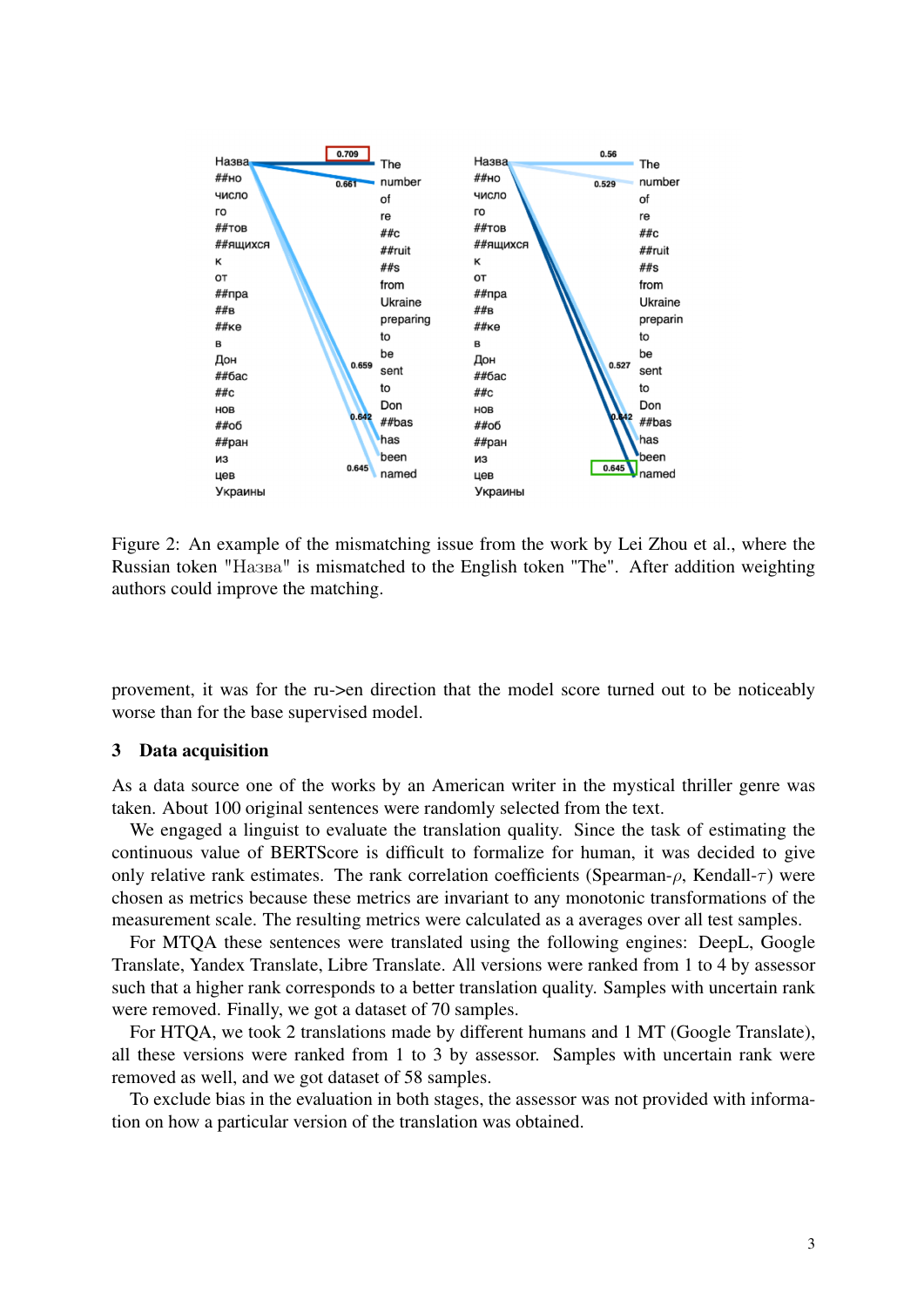

<span id="page-2-0"></span>Figure 2: An example of the mismatching issue from the work by Lei Zhou et al., where the Russian token "Назва" is mismatched to the English token "The". After addition weighting authors could improve the matching.

provement, it was for the ru->en direction that the model score turned out to be noticeably worse than for the base supervised model.

#### 3 Data acquisition

As a data source one of the works by an American writer in the mystical thriller genre was taken. About 100 original sentences were randomly selected from the text.

We engaged a linguist to evaluate the translation quality. Since the task of estimating the continuous value of BERTScore is difficult to formalize for human, it was decided to give only relative rank estimates. The rank correlation coefficients (Spearman- $\rho$ , Kendall- $\tau$ ) were chosen as metrics because these metrics are invariant to any monotonic transformations of the measurement scale. The resulting metrics were calculated as a averages over all test samples.

For MTQA these sentences were translated using the following engines: DeepL, Google Translate, Yandex Translate, Libre Translate. All versions were ranked from 1 to 4 by assessor such that a higher rank corresponds to a better translation quality. Samples with uncertain rank were removed. Finally, we got a dataset of 70 samples.

For HTQA, we took 2 translations made by different humans and 1 MT (Google Translate), all these versions were ranked from 1 to 3 by assessor. Samples with uncertain rank were removed as well, and we got dataset of 58 samples.

To exclude bias in the evaluation in both stages, the assessor was not provided with information on how a particular version of the translation was obtained.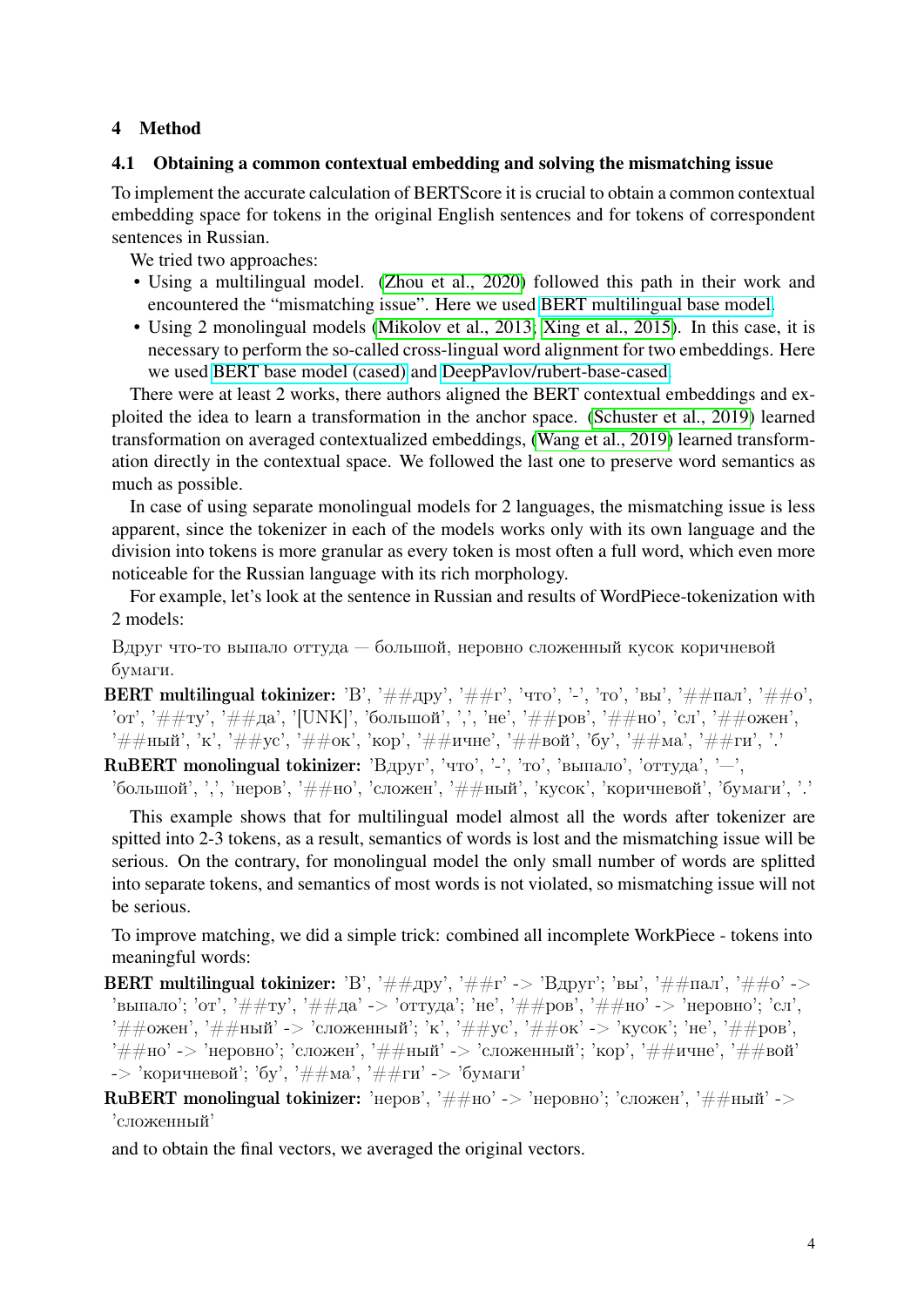# 4 Method

# 4.1 Obtaining a common contextual embedding and solving the mismatching issue

To implement the accurate calculation of BERTScore it is crucial to obtain a common contextual embedding space for tokens in the original English sentences and for tokens of correspondent sentences in Russian.

We tried two approaches:

- Using a multilingual model. [\(Zhou et al., 2020\)](#page-7-1) followed this path in their work and encountered the "mismatching issue". Here we used [BERT multilingual base model.](https://huggingface.co/bert-base-multilingual-cased)
- Using 2 monolingual models [\(Mikolov et al., 2013;](#page-6-6) [Xing et al., 2015\)](#page-7-2). In this case, it is necessary to perform the so-called cross-lingual word alignment for two embeddings. Here we used [BERT base model \(cased\)](https://huggingface.co/bert-base-cased) and [DeepPavlov/rubert-base-cased.](https://huggingface.co/DeepPavlov/rubert-base-cased)

There were at least 2 works, there authors aligned the BERT contextual embeddings and exploited the idea to learn a transformation in the anchor space. [\(Schuster et al., 2019\)](#page-7-3) learned transformation on averaged contextualized embeddings, [\(Wang et al., 2019\)](#page-7-4) learned transformation directly in the contextual space. We followed the last one to preserve word semantics as much as possible.

In case of using separate monolingual models for 2 languages, the mismatching issue is less apparent, since the tokenizer in each of the models works only with its own language and the division into tokens is more granular as every token is most often a full word, which even more noticeable for the Russian language with its rich morphology.

For example, let's look at the sentence in Russian and results of WordPiece-tokenization with 2 models:

Вдруг что-то выпало оттуда — большой, неровно сложенный кусок коричневой бумаги.

**BERT multilingual tokinizer:** 'В', '##дру', '##г', 'что', '-', 'то', 'вы', '##пал', '##о', 'от', '##ту', '##да', '[UNK]', 'большой', ',', 'не', '##ров', '##но', 'сл', '##ожен', '##ный', 'к', '##ус', '##ок', 'кор', '##ичне', '##вой', 'бу', '##ма', '##ги', '.'

RuBERT monolingual tokinizer: 'Вдруг', 'что', '-', 'то', 'выпало', 'оттуда', '-',

'большой', ',', 'неров', '##но', 'сложен', '##ный', 'кусок', 'коричневой', 'бумаги', '.'

This example shows that for multilingual model almost all the words after tokenizer are spitted into 2-3 tokens, as a result, semantics of words is lost and the mismatching issue will be serious. On the contrary, for monolingual model the only small number of words are splitted into separate tokens, and semantics of most words is not violated, so mismatching issue will not be serious.

To improve matching, we did a simple trick: combined all incomplete WorkPiece - tokens into meaningful words:

- **BERT multilingual tokinizer:** 'В', '##дру', '##г' -> 'Вдруг'; 'вы', '##пал', '##о' -> 'выпало'; 'от', '##ту', '##да' -> 'оттуда'; 'не', '##ров', '##но' -> 'неровно'; 'сл', '##ожен', '##ный' -> 'сложенный'; 'к', '##ус', '##ок' -> 'кусок'; 'не', '##ров', '##но' -> 'неровно'; 'сложен', '##ный' -> 'сложенный'; 'кор', '##ичне', '##вой' -> 'коричневой'; 'бу', '##ма', '##ги' -> 'бумаги'
- RuBERT monolingual tokinizer: 'неров', ' $\#$ #но' -> 'неровно'; 'сложен', ' $\#$ #ный' -> 'сложенный'

and to obtain the final vectors, we averaged the original vectors.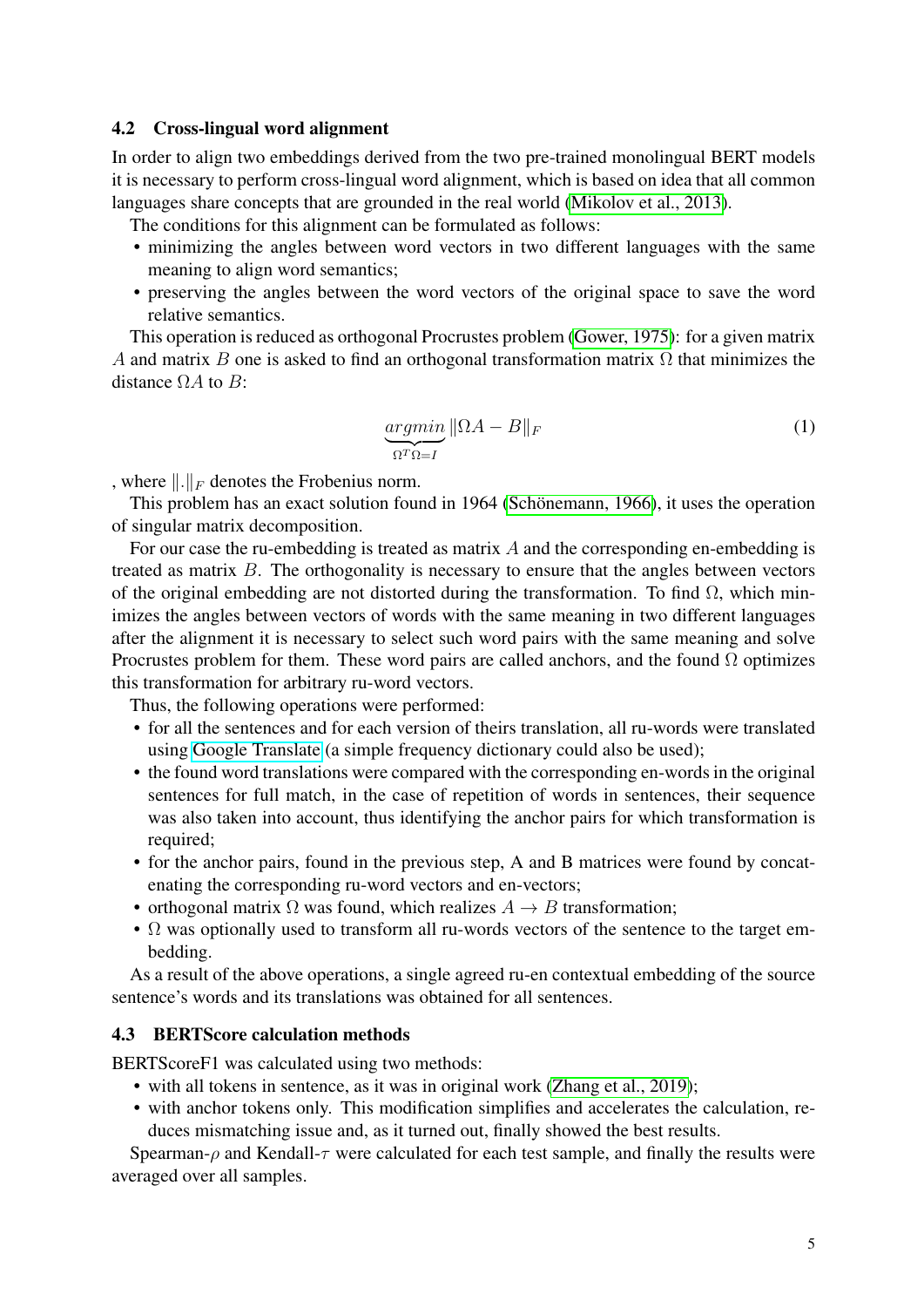### 4.2 Cross-lingual word alignment

In order to align two embeddings derived from the two pre-trained monolingual BERT models it is necessary to perform cross-lingual word alignment, which is based on idea that all common languages share concepts that are grounded in the real world [\(Mikolov et al., 2013\)](#page-6-6).

The conditions for this alignment can be formulated as follows:

- minimizing the angles between word vectors in two different languages with the same meaning to align word semantics;
- preserving the angles between the word vectors of the original space to save the word relative semantics.

This operation is reduced as orthogonal Procrustes problem [\(Gower, 1975\)](#page-6-7): for a given matrix A and matrix B one is asked to find an orthogonal transformation matrix  $\Omega$  that minimizes the distance  $\Omega A$  to  $B$ :

$$
\underbrace{argmin}_{\Omega^T \Omega = I} \|\Omega A - B\|_F \tag{1}
$$

, where  $\|.\|_F$  denotes the Frobenius norm.

This problem has an exact solution found in 1964 [\(Schönemann, 1966\)](#page-7-5), it uses the operation of singular matrix decomposition.

For our case the ru-embedding is treated as matrix  $\vec{A}$  and the corresponding en-embedding is treated as matrix  $B$ . The orthogonality is necessary to ensure that the angles between vectors of the original embedding are not distorted during the transformation. To find  $\Omega$ , which minimizes the angles between vectors of words with the same meaning in two different languages after the alignment it is necessary to select such word pairs with the same meaning and solve Procrustes problem for them. These word pairs are called anchors, and the found  $\Omega$  optimizes this transformation for arbitrary ru-word vectors.

Thus, the following operations were performed:

- for all the sentences and for each version of theirs translation, all ru-words were translated using [Google Translate](https://translate.google.com) (a simple frequency dictionary could also be used);
- the found word translations were compared with the corresponding en-words in the original sentences for full match, in the case of repetition of words in sentences, their sequence was also taken into account, thus identifying the anchor pairs for which transformation is required;
- for the anchor pairs, found in the previous step, A and B matrices were found by concatenating the corresponding ru-word vectors and en-vectors;
- orthogonal matrix  $\Omega$  was found, which realizes  $A \rightarrow B$  transformation;
- $\Omega$  was optionally used to transform all ru-words vectors of the sentence to the target embedding.

As a result of the above operations, a single agreed ru-en contextual embedding of the source sentence's words and its translations was obtained for all sentences.

#### 4.3 BERTScore calculation methods

BERTScoreF1 was calculated using two methods:

- with all tokens in sentence, as it was in original work [\(Zhang et al., 2019\)](#page-7-0);
- with anchor tokens only. This modification simplifies and accelerates the calculation, reduces mismatching issue and, as it turned out, finally showed the best results.

Spearman- $\rho$  and Kendall- $\tau$  were calculated for each test sample, and finally the results were averaged over all samples.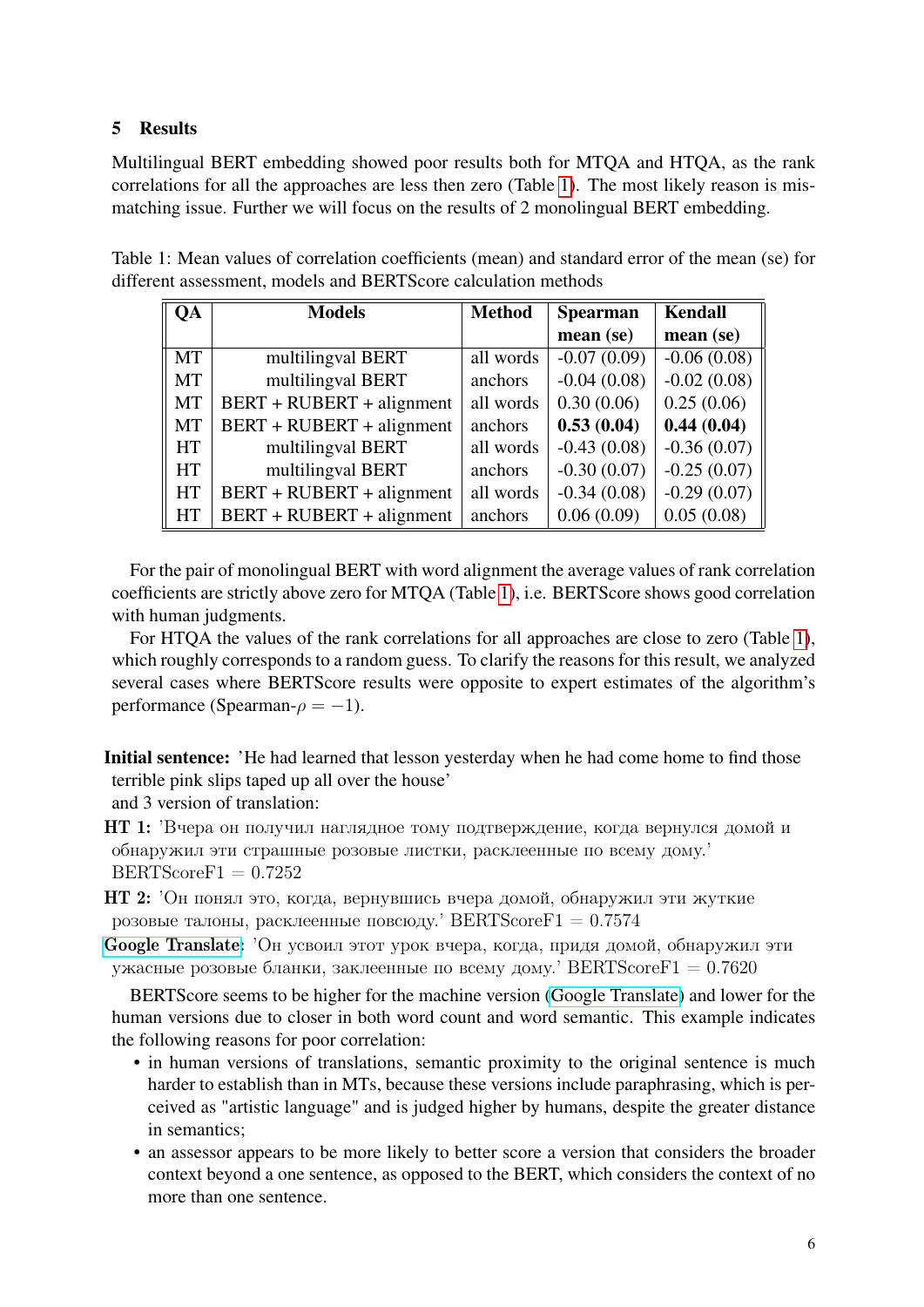# 5 Results

Multilingual BERT embedding showed poor results both for MTQA and HTQA, as the rank correlations for all the approaches are less then zero (Table [1\)](#page-5-0). The most likely reason is mismatching issue. Further we will focus on the results of 2 monolingual BERT embedding.

Table 1: Mean values of correlation coefficients (mean) and standard error of the mean (se) for different assessment, models and BERTScore calculation methods

<span id="page-5-0"></span>

| QA        | <b>Models</b>             | <b>Method</b> | <b>Spearman</b> | <b>Kendall</b> |
|-----------|---------------------------|---------------|-----------------|----------------|
|           |                           |               | mean (se)       | mean (se)      |
| <b>MT</b> | multilingval BERT         | all words     | $-0.07(0.09)$   | $-0.06(0.08)$  |
| <b>MT</b> | multilingval BERT         | anchors       | $-0.04(0.08)$   | $-0.02(0.08)$  |
| <b>MT</b> | BERT + RUBERT + alignment | all words     | 0.30(0.06)      | 0.25(0.06)     |
| MT        | BERT + RUBERT + alignment | anchors       | 0.53(0.04)      | 0.44(0.04)     |
| <b>HT</b> | multilingval BERT         | all words     | $-0.43(0.08)$   | $-0.36(0.07)$  |
| <b>HT</b> | multilingval BERT         | anchors       | $-0.30(0.07)$   | $-0.25(0.07)$  |
| <b>HT</b> | BERT + RUBERT + alignment | all words     | $-0.34(0.08)$   | $-0.29(0.07)$  |
| <b>HT</b> | BERT + RUBERT + alignment | anchors       | 0.06(0.09)      | 0.05(0.08)     |

For the pair of monolingual BERT with word alignment the average values of rank correlation coefficients are strictly above zero for MTQA (Table [1\)](#page-5-0), i.e. BERTScore shows good correlation with human judgments.

For HTQA the values of the rank correlations for all approaches are close to zero (Table [1\)](#page-5-0), which roughly corresponds to a random guess. To clarify the reasons for this result, we analyzed several cases where BERTScore results were opposite to expert estimates of the algorithm's performance (Spearman- $\rho = -1$ ).

Initial sentence: 'He had learned that lesson yesterday when he had come home to find those terrible pink slips taped up all over the house'

and 3 version of translation:

НТ 1: 'Вчера он получил наглядное тому подтверждение, когда вернулся домой и обнаружил эти страшные розовые листки, расклеенные по всему дому.'  $BERTScoreF1 = 0.7252$ 

HT 2: 'Он понял это, когда, вернувшись вчера домой, обнаружил эти жуткие розовые талоны, расклеенные повсюду. BERTScoreF1 =  $0.7574$ 

[Google Translate:](https://translate.google.com) 'Он усвоил этот урок вчера, когда, придя домой, обнаружил эти ужасные розовые бланки, заклеенные по всему дому. BERTScoreF1 =  $0.7620$ 

BERTScore seems to be higher for the machine version [\(Google Translate\)](https://translate.google.com) and lower for the human versions due to closer in both word count and word semantic. This example indicates the following reasons for poor correlation:

- in human versions of translations, semantic proximity to the original sentence is much harder to establish than in MTs, because these versions include paraphrasing, which is perceived as "artistic language" and is judged higher by humans, despite the greater distance in semantics;
- an assessor appears to be more likely to better score a version that considers the broader context beyond a one sentence, as opposed to the BERT, which considers the context of no more than one sentence.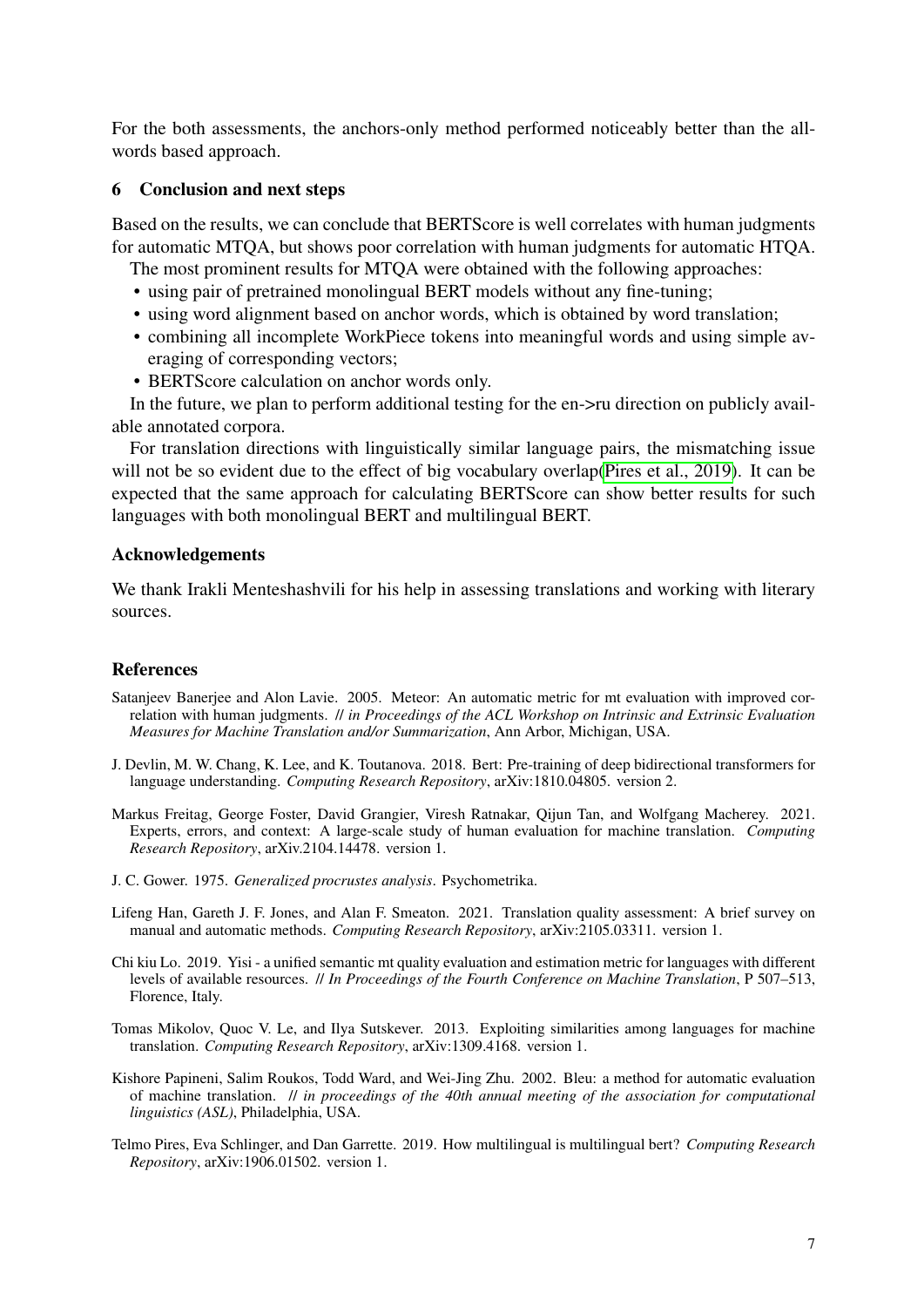For the both assessments, the anchors-only method performed noticeably better than the allwords based approach.

### 6 Conclusion and next steps

Based on the results, we can conclude that BERTScore is well correlates with human judgments for automatic MTQA, but shows poor correlation with human judgments for automatic HTQA.

The most prominent results for MTQA were obtained with the following approaches:

- using pair of pretrained monolingual BERT models without any fine-tuning;
- using word alignment based on anchor words, which is obtained by word translation;
- combining all incomplete WorkPiece tokens into meaningful words and using simple averaging of corresponding vectors;
- BERTScore calculation on anchor words only.

In the future, we plan to perform additional testing for the en->ru direction on publicly available annotated corpora.

For translation directions with linguistically similar language pairs, the mismatching issue will not be so evident due to the effect of big vocabulary overlap[\(Pires et al., 2019\)](#page-6-8). It can be expected that the same approach for calculating BERTScore can show better results for such languages with both monolingual BERT and multilingual BERT.

## Acknowledgements

We thank Irakli Menteshashvili for his help in assessing translations and working with literary sources.

### References

- <span id="page-6-3"></span>Satanjeev Banerjee and Alon Lavie. 2005. Meteor: An automatic metric for mt evaluation with improved correlation with human judgments. // *in Proceedings of the ACL Workshop on Intrinsic and Extrinsic Evaluation Measures for Machine Translation and/or Summarization*, Ann Arbor, Michigan, USA.
- <span id="page-6-5"></span>J. Devlin, M. W. Chang, K. Lee, and K. Toutanova. 2018. Bert: Pre-training of deep bidirectional transformers for language understanding. *Computing Research Repository*, arXiv:1810.04805. version 2.
- <span id="page-6-1"></span>Markus Freitag, George Foster, David Grangier, Viresh Ratnakar, Qijun Tan, and Wolfgang Macherey. 2021. Experts, errors, and context: A large-scale study of human evaluation for machine translation. *Computing Research Repository*, arXiv.2104.14478. version 1.
- <span id="page-6-7"></span>J. C. Gower. 1975. *Generalized procrustes analysis*. Psychometrika.
- <span id="page-6-0"></span>Lifeng Han, Gareth J. F. Jones, and Alan F. Smeaton. 2021. Translation quality assessment: A brief survey on manual and automatic methods. *Computing Research Repository*, arXiv:2105.03311. version 1.
- <span id="page-6-4"></span>Chi kiu Lo. 2019. Yisi - a unified semantic mt quality evaluation and estimation metric for languages with different levels of available resources. // *In Proceedings of the Fourth Conference on Machine Translation*, P 507–513, Florence, Italy.
- <span id="page-6-6"></span>Tomas Mikolov, Quoc V. Le, and Ilya Sutskever. 2013. Exploiting similarities among languages for machine translation. *Computing Research Repository*, arXiv:1309.4168. version 1.
- <span id="page-6-2"></span>Kishore Papineni, Salim Roukos, Todd Ward, and Wei-Jing Zhu. 2002. Bleu: a method for automatic evaluation of machine translation. // *in proceedings of the 40th annual meeting of the association for computational linguistics (ASL)*, Philadelphia, USA.
- <span id="page-6-8"></span>Telmo Pires, Eva Schlinger, and Dan Garrette. 2019. How multilingual is multilingual bert? *Computing Research Repository*, arXiv:1906.01502. version 1.